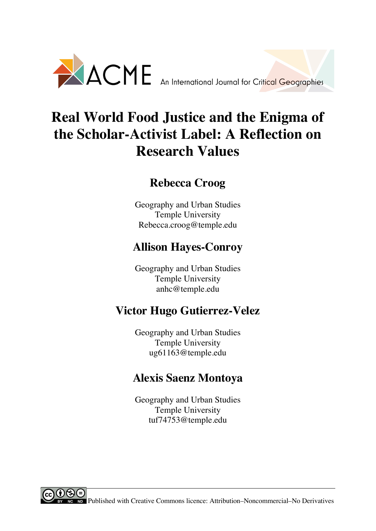

# **Real World Food Justice and the Enigma of the Scholar-Activist Label: A Reflection on Research Values**

## **Rebecca Croog**

Geography and Urban Studies Temple University Rebecca.croog@temple.edu

# **Allison Hayes-Conroy**

Geography and Urban Studies Temple University anhc@temple.edu

# **Victor Hugo Gutierrez-Velez**

Geography and Urban Studies Temple University ug61163@temple.edu

# **Alexis Saenz Montoya**

Geography and Urban Studies Temple University tuf74753@temple.edu

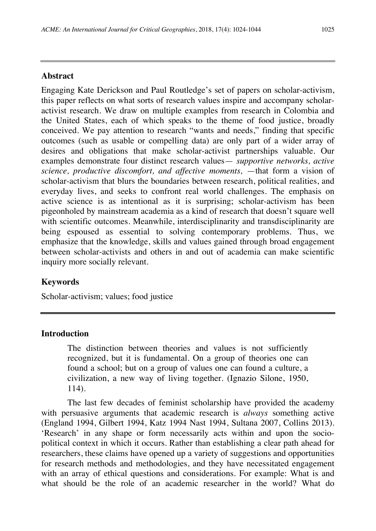### **Abstract**

Engaging Kate Derickson and Paul Routledge's set of papers on scholar-activism, this paper reflects on what sorts of research values inspire and accompany scholaractivist research. We draw on multiple examples from research in Colombia and the United States, each of which speaks to the theme of food justice, broadly conceived. We pay attention to research "wants and needs," finding that specific outcomes (such as usable or compelling data) are only part of a wider array of desires and obligations that make scholar-activist partnerships valuable. Our examples demonstrate four distinct research values— *supportive networks, active science, productive discomfort, and affective moments, —that form a vision of* scholar-activism that blurs the boundaries between research, political realities, and everyday lives, and seeks to confront real world challenges. The emphasis on active science is as intentional as it is surprising; scholar-activism has been pigeonholed by mainstream academia as a kind of research that doesn't square well with scientific outcomes. Meanwhile, interdisciplinarity and transdisciplinarity are being espoused as essential to solving contemporary problems. Thus, we emphasize that the knowledge, skills and values gained through broad engagement between scholar-activists and others in and out of academia can make scientific inquiry more socially relevant.

### **Keywords**

Scholar-activism; values; food justice

### **Introduction**

The distinction between theories and values is not sufficiently recognized, but it is fundamental. On a group of theories one can found a school; but on a group of values one can found a culture, a civilization, a new way of living together. (Ignazio Silone, 1950, 114).

The last few decades of feminist scholarship have provided the academy with persuasive arguments that academic research is *always* something active (England 1994, Gilbert 1994, Katz 1994 Nast 1994, Sultana 2007, Collins 2013). 'Research' in any shape or form necessarily acts within and upon the sociopolitical context in which it occurs. Rather than establishing a clear path ahead for researchers, these claims have opened up a variety of suggestions and opportunities for research methods and methodologies, and they have necessitated engagement with an array of ethical questions and considerations. For example: What is and what should be the role of an academic researcher in the world? What do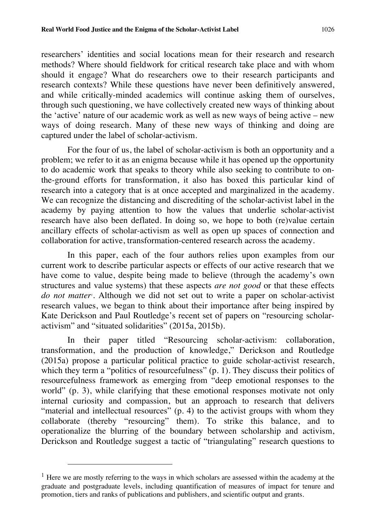researchers' identities and social locations mean for their research and research methods? Where should fieldwork for critical research take place and with whom should it engage? What do researchers owe to their research participants and research contexts? While these questions have never been definitively answered, and while critically-minded academics will continue asking them of ourselves, through such questioning, we have collectively created new ways of thinking about the 'active' nature of our academic work as well as new ways of being active – new ways of doing research. Many of these new ways of thinking and doing are captured under the label of scholar-activism.

For the four of us, the label of scholar-activism is both an opportunity and a problem; we refer to it as an enigma because while it has opened up the opportunity to do academic work that speaks to theory while also seeking to contribute to onthe-ground efforts for transformation, it also has boxed this particular kind of research into a category that is at once accepted and marginalized in the academy. We can recognize the distancing and discrediting of the scholar-activist label in the academy by paying attention to how the values that underlie scholar-activist research have also been deflated. In doing so, we hope to both (re)value certain ancillary effects of scholar-activism as well as open up spaces of connection and collaboration for active, transformation-centered research across the academy.

In this paper, each of the four authors relies upon examples from our current work to describe particular aspects or effects of our active research that we have come to value, despite being made to believe (through the academy's own structures and value systems) that these aspects *are not good* or that these effects do not matter<sup>1</sup>. Although we did not set out to write a paper on scholar-activist research values, we began to think about their importance after being inspired by Kate Derickson and Paul Routledge's recent set of papers on "resourcing scholaractivism" and "situated solidarities" (2015a, 2015b).

In their paper titled "Resourcing scholar-activism: collaboration, transformation, and the production of knowledge," Derickson and Routledge (2015a) propose a particular political practice to guide scholar-activist research, which they term a "politics of resourcefulness" (p. 1). They discuss their politics of resourcefulness framework as emerging from "deep emotional responses to the world" (p. 3), while clarifying that these emotional responses motivate not only internal curiosity and compassion, but an approach to research that delivers "material and intellectual resources" (p. 4) to the activist groups with whom they collaborate (thereby "resourcing" them). To strike this balance, and to operationalize the blurring of the boundary between scholarship and activism, Derickson and Routledge suggest a tactic of "triangulating" research questions to

 $\overline{a}$ 

<sup>&</sup>lt;sup>1</sup> Here we are mostly referring to the ways in which scholars are assessed within the academy at the graduate and postgraduate levels, including quantification of measures of impact for tenure and promotion, tiers and ranks of publications and publishers, and scientific output and grants.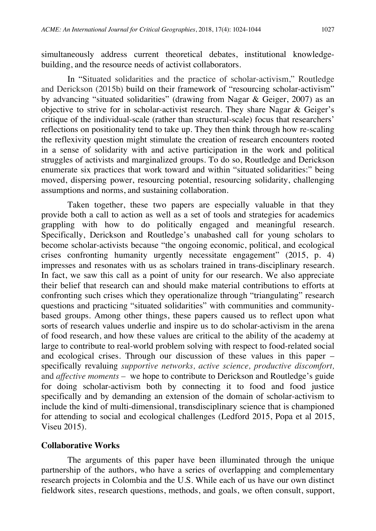simultaneously address current theoretical debates, institutional knowledgebuilding, and the resource needs of activist collaborators.

In "Situated solidarities and the practice of scholar-activism," Routledge and Derickson (2015b) build on their framework of "resourcing scholar-activism" by advancing "situated solidarities" (drawing from Nagar & Geiger, 2007) as an objective to strive for in scholar-activist research. They share Nagar & Geiger's critique of the individual-scale (rather than structural-scale) focus that researchers' reflections on positionality tend to take up. They then think through how re-scaling the reflexivity question might stimulate the creation of research encounters rooted in a sense of solidarity with and active participation in the work and political struggles of activists and marginalized groups. To do so, Routledge and Derickson enumerate six practices that work toward and within "situated solidarities:" being moved, dispersing power, resourcing potential, resourcing solidarity, challenging assumptions and norms, and sustaining collaboration.

Taken together, these two papers are especially valuable in that they provide both a call to action as well as a set of tools and strategies for academics grappling with how to do politically engaged and meaningful research. Specifically, Derickson and Routledge's unabashed call for young scholars to become scholar-activists because "the ongoing economic, political, and ecological crises confronting humanity urgently necessitate engagement" (2015, p. 4) impresses and resonates with us as scholars trained in trans-disciplinary research. In fact, we saw this call as a point of unity for our research. We also appreciate their belief that research can and should make material contributions to efforts at confronting such crises which they operationalize through "triangulating" research questions and practicing "situated solidarities" with communities and communitybased groups. Among other things, these papers caused us to reflect upon what sorts of research values underlie and inspire us to do scholar-activism in the arena of food research, and how these values are critical to the ability of the academy at large to contribute to real-world problem solving with respect to food-related social and ecological crises. Through our discussion of these values in this paper – specifically revaluing *supportive networks, active science, productive discomfort,*  and *affective moments* – we hope to contribute to Derickson and Routledge's guide for doing scholar-activism both by connecting it to food and food justice specifically and by demanding an extension of the domain of scholar-activism to include the kind of multi-dimensional, transdisciplinary science that is championed for attending to social and ecological challenges (Ledford 2015, Popa et al 2015, Viseu 2015).

#### **Collaborative Works**

The arguments of this paper have been illuminated through the unique partnership of the authors, who have a series of overlapping and complementary research projects in Colombia and the U.S. While each of us have our own distinct fieldwork sites, research questions, methods, and goals, we often consult, support,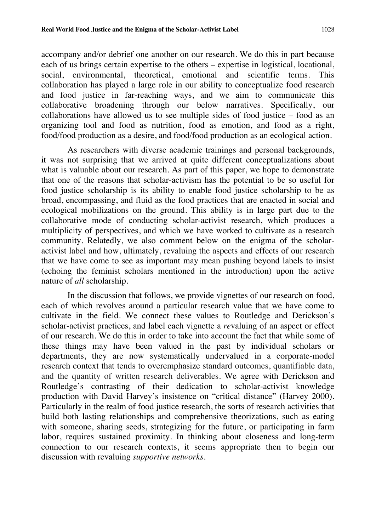accompany and/or debrief one another on our research. We do this in part because each of us brings certain expertise to the others – expertise in logistical, locational, social, environmental, theoretical, emotional and scientific terms. This collaboration has played a large role in our ability to conceptualize food research and food justice in far-reaching ways, and we aim to communicate this collaborative broadening through our below narratives. Specifically, our collaborations have allowed us to see multiple sides of food justice – food as an organizing tool and food as nutrition, food as emotion, and food as a right, food/food production as a desire, and food/food production as an ecological action.

As researchers with diverse academic trainings and personal backgrounds, it was not surprising that we arrived at quite different conceptualizations about what is valuable about our research. As part of this paper, we hope to demonstrate that one of the reasons that scholar-activism has the potential to be so useful for food justice scholarship is its ability to enable food justice scholarship to be as broad, encompassing, and fluid as the food practices that are enacted in social and ecological mobilizations on the ground. This ability is in large part due to the collaborative mode of conducting scholar-activist research, which produces a multiplicity of perspectives, and which we have worked to cultivate as a research community. Relatedly, we also comment below on the enigma of the scholaractivist label and how, ultimately, revaluing the aspects and effects of our research that we have come to see as important may mean pushing beyond labels to insist (echoing the feminist scholars mentioned in the introduction) upon the active nature of *all* scholarship.

In the discussion that follows, we provide vignettes of our research on food, each of which revolves around a particular research value that we have come to cultivate in the field. We connect these values to Routledge and Derickson's scholar-activist practices, and label each vignette a *re*valuing of an aspect or effect of our research. We do this in order to take into account the fact that while some of these things may have been valued in the past by individual scholars or departments, they are now systematically undervalued in a corporate-model research context that tends to overemphasize standard outcomes, quantifiable data, and the quantity of written research deliverables. We agree with Derickson and Routledge's contrasting of their dedication to scholar-activist knowledge production with David Harvey's insistence on "critical distance" (Harvey 2000). Particularly in the realm of food justice research, the sorts of research activities that build both lasting relationships and comprehensive theorizations, such as eating with someone, sharing seeds, strategizing for the future, or participating in farm labor, requires sustained proximity. In thinking about closeness and long-term connection to our research contexts, it seems appropriate then to begin our discussion with revaluing *supportive networks*.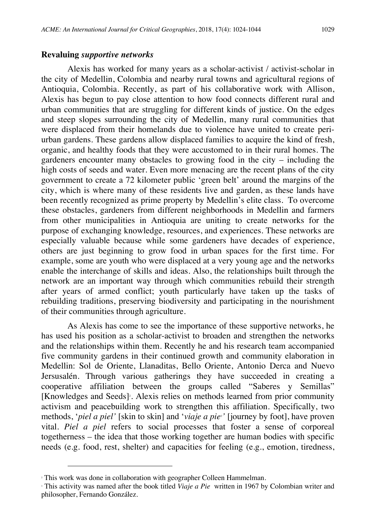#### **Revaluing** *supportive networks*

Alexis has worked for many years as a scholar-activist / activist-scholar in the city of Medellin, Colombia and nearby rural towns and agricultural regions of Antioquia, Colombia. Recently, as part of his collaborative work with Allison, Alexis has begun to pay close attention to how food connects different rural and urban communities that are struggling for different kinds of justice. On the edges and steep slopes surrounding the city of Medellin, many rural communities that were displaced from their homelands due to violence have united to create periurban gardens. These gardens allow displaced families to acquire the kind of fresh, organic, and healthy foods that they were accustomed to in their rural homes. The gardeners encounter many obstacles to growing food in the city – including the high costs of seeds and water. Even more menacing are the recent plans of the city government to create a 72 kilometer public 'green belt' around the margins of the city, which is where many of these residents live and garden, as these lands have been recently recognized as prime property by Medellin's elite class. To overcome these obstacles, gardeners from different neighborhoods in Medellin and farmers from other municipalities in Antioquia are uniting to create networks for the purpose of exchanging knowledge, resources, and experiences. These networks are especially valuable because while some gardeners have decades of experience, others are just beginning to grow food in urban spaces for the first time. For example, some are youth who were displaced at a very young age and the networks enable the interchange of skills and ideas. Also, the relationships built through the network are an important way through which communities rebuild their strength after years of armed conflict; youth particularly have taken up the tasks of rebuilding traditions, preserving biodiversity and participating in the nourishment of their communities through agriculture.

As Alexis has come to see the importance of these supportive networks, he has used his position as a scholar-activist to broaden and strengthen the networks and the relationships within them. Recently he and his research team accompanied five community gardens in their continued growth and community elaboration in Medellin: Sol de Oriente, Llanaditas, Bello Oriente, Antonio Derca and Nuevo Jersusalén. Through various gatherings they have succeeded in creating a cooperative affiliation between the groups called "Saberes y Semillas" [Knowledges and Seeds]<sup>2</sup>. Alexis relies on methods learned from prior community activism and peacebuilding work to strengthen this affiliation. Specifically, two methods, '*piel a piel'* [skin to skin] and '*viaje a pie3 '* [journey by foot], have proven vital. *Piel a piel* refers to social processes that foster a sense of corporeal togetherness – the idea that those working together are human bodies with specific needs (e.g. food, rest, shelter) and capacities for feeling (e.g., emotion, tiredness,

 $\overline{a}$ 

<sup>&</sup>lt;sup>2</sup> This work was done in collaboration with geographer Colleen Hammelman.<br><sup>3</sup> This activity was named after the book titled *Viaje a Pie* written in 1967 by Colombian writer and philosopher, Fernando González.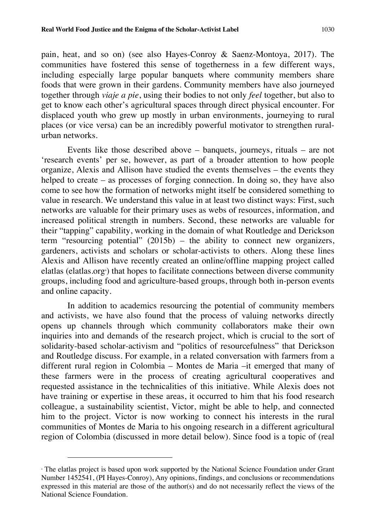pain, heat, and so on) (see also Hayes-Conroy & Saenz-Montoya, 2017). The communities have fostered this sense of togetherness in a few different ways, including especially large popular banquets where community members share foods that were grown in their gardens. Community members have also journeyed together through *viaje a pie*, using their bodies to not only *feel* together, but also to get to know each other's agricultural spaces through direct physical encounter. For displaced youth who grew up mostly in urban environments, journeying to rural places (or vice versa) can be an incredibly powerful motivator to strengthen ruralurban networks.

Events like those described above – banquets, journeys, rituals – are not 'research events' per se, however, as part of a broader attention to how people organize, Alexis and Allison have studied the events themselves – the events they helped to create – as processes of forging connection. In doing so, they have also come to see how the formation of networks might itself be considered something to value in research. We understand this value in at least two distinct ways: First, such networks are valuable for their primary uses as webs of resources, information, and increased political strength in numbers. Second, these networks are valuable for their "tapping" capability, working in the domain of what Routledge and Derickson term "resourcing potential" (2015b) – the ability to connect new organizers, gardeners, activists and scholars or scholar-activists to others. Along these lines Alexis and Allison have recently created an online/offline mapping project called elatlas (elatlas.org<sup>4</sup>) that hopes to facilitate connections between diverse community groups, including food and agriculture-based groups, through both in-person events and online capacity.

In addition to academics resourcing the potential of community members and activists, we have also found that the process of valuing networks directly opens up channels through which community collaborators make their own inquiries into and demands of the research project, which is crucial to the sort of solidarity-based scholar-activism and "politics of resourcefulness" that Derickson and Routledge discuss. For example, in a related conversation with farmers from a different rural region in Colombia – Montes de Maria –it emerged that many of these farmers were in the process of creating agricultural cooperatives and requested assistance in the technicalities of this initiative. While Alexis does not have training or expertise in these areas, it occurred to him that his food research colleague, a sustainability scientist, Victor, might be able to help, and connected him to the project. Victor is now working to connect his interests in the rural communities of Montes de Maria to his ongoing research in a different agricultural region of Colombia (discussed in more detail below). Since food is a topic of (real

l

<sup>4</sup> The elatlas project is based upon work supported by the National Science Foundation under Grant Number 1452541, (PI Hayes-Conroy), Any opinions, findings, and conclusions or recommendations expressed in this material are those of the author(s) and do not necessarily reflect the views of the National Science Foundation.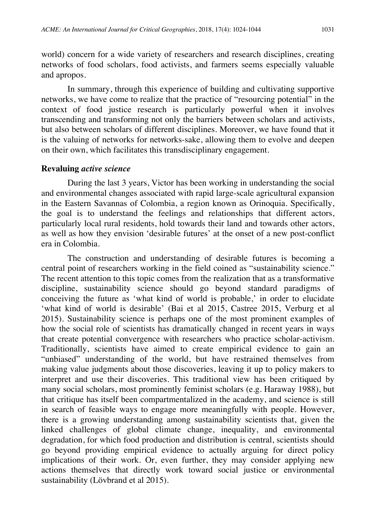world) concern for a wide variety of researchers and research disciplines, creating networks of food scholars, food activists, and farmers seems especially valuable and apropos.

In summary, through this experience of building and cultivating supportive networks, we have come to realize that the practice of "resourcing potential" in the context of food justice research is particularly powerful when it involves transcending and transforming not only the barriers between scholars and activists, but also between scholars of different disciplines. Moreover, we have found that it is the valuing of networks for networks-sake, allowing them to evolve and deepen on their own, which facilitates this transdisciplinary engagement.

#### **Revaluing** *active science*

During the last 3 years, Victor has been working in understanding the social and environmental changes associated with rapid large-scale agricultural expansion in the Eastern Savannas of Colombia, a region known as Orinoquia. Specifically, the goal is to understand the feelings and relationships that different actors, particularly local rural residents, hold towards their land and towards other actors, as well as how they envision 'desirable futures' at the onset of a new post-conflict era in Colombia.

The construction and understanding of desirable futures is becoming a central point of researchers working in the field coined as "sustainability science." The recent attention to this topic comes from the realization that as a transformative discipline, sustainability science should go beyond standard paradigms of conceiving the future as 'what kind of world is probable,' in order to elucidate 'what kind of world is desirable' (Bai et al 2015, Castree 2015, Verburg et al 2015). Sustainability science is perhaps one of the most prominent examples of how the social role of scientists has dramatically changed in recent years in ways that create potential convergence with researchers who practice scholar-activism. Traditionally, scientists have aimed to create empirical evidence to gain an "unbiased" understanding of the world, but have restrained themselves from making value judgments about those discoveries, leaving it up to policy makers to interpret and use their discoveries. This traditional view has been critiqued by many social scholars, most prominently feminist scholars (e.g. Haraway 1988), but that critique has itself been compartmentalized in the academy, and science is still in search of feasible ways to engage more meaningfully with people. However, there is a growing understanding among sustainability scientists that, given the linked challenges of global climate change, inequality, and environmental degradation, for which food production and distribution is central, scientists should go beyond providing empirical evidence to actually arguing for direct policy implications of their work. Or, even further, they may consider applying new actions themselves that directly work toward social justice or environmental sustainability (Lövbrand et al 2015).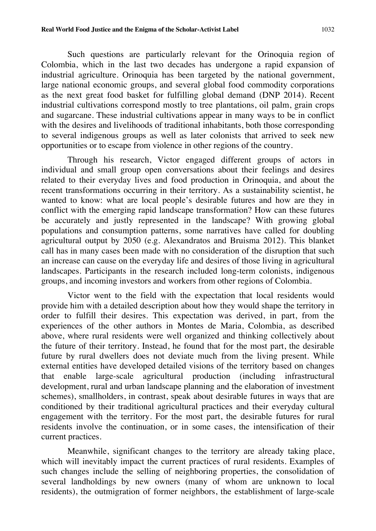Such questions are particularly relevant for the Orinoquia region of Colombia, which in the last two decades has undergone a rapid expansion of industrial agriculture. Orinoquia has been targeted by the national government, large national economic groups, and several global food commodity corporations as the next great food basket for fulfilling global demand (DNP 2014). Recent industrial cultivations correspond mostly to tree plantations, oil palm, grain crops and sugarcane. These industrial cultivations appear in many ways to be in conflict with the desires and livelihoods of traditional inhabitants, both those corresponding to several indigenous groups as well as later colonists that arrived to seek new opportunities or to escape from violence in other regions of the country.

Through his research, Victor engaged different groups of actors in individual and small group open conversations about their feelings and desires related to their everyday lives and food production in Orinoquia, and about the recent transformations occurring in their territory. As a sustainability scientist, he wanted to know: what are local people's desirable futures and how are they in conflict with the emerging rapid landscape transformation? How can these futures be accurately and justly represented in the landscape? With growing global populations and consumption patterns, some narratives have called for doubling agricultural output by 2050 (e.g. Alexandratos and Bruisma 2012). This blanket call has in many cases been made with no consideration of the disruption that such an increase can cause on the everyday life and desires of those living in agricultural landscapes. Participants in the research included long-term colonists, indigenous groups, and incoming investors and workers from other regions of Colombia.

Victor went to the field with the expectation that local residents would provide him with a detailed description about how they would shape the territory in order to fulfill their desires. This expectation was derived, in part, from the experiences of the other authors in Montes de Maria, Colombia, as described above, where rural residents were well organized and thinking collectively about the future of their territory. Instead, he found that for the most part, the desirable future by rural dwellers does not deviate much from the living present. While external entities have developed detailed visions of the territory based on changes that enable large-scale agricultural production (including infrastructural development, rural and urban landscape planning and the elaboration of investment schemes), smallholders, in contrast, speak about desirable futures in ways that are conditioned by their traditional agricultural practices and their everyday cultural engagement with the territory. For the most part, the desirable futures for rural residents involve the continuation, or in some cases, the intensification of their current practices.

Meanwhile, significant changes to the territory are already taking place, which will inevitably impact the current practices of rural residents. Examples of such changes include the selling of neighboring properties, the consolidation of several landholdings by new owners (many of whom are unknown to local residents), the outmigration of former neighbors, the establishment of large-scale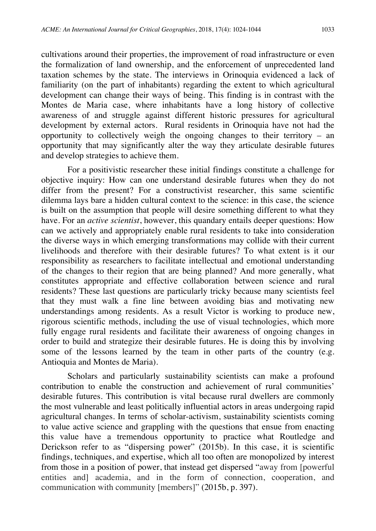cultivations around their properties, the improvement of road infrastructure or even the formalization of land ownership, and the enforcement of unprecedented land taxation schemes by the state. The interviews in Orinoquia evidenced a lack of familiarity (on the part of inhabitants) regarding the extent to which agricultural development can change their ways of being. This finding is in contrast with the Montes de Maria case, where inhabitants have a long history of collective awareness of and struggle against different historic pressures for agricultural development by external actors. Rural residents in Orinoquia have not had the opportunity to collectively weigh the ongoing changes to their territory – an opportunity that may significantly alter the way they articulate desirable futures and develop strategies to achieve them.

For a positivistic researcher these initial findings constitute a challenge for objective inquiry: How can one understand desirable futures when they do not differ from the present? For a constructivist researcher, this same scientific dilemma lays bare a hidden cultural context to the science: in this case, the science is built on the assumption that people will desire something different to what they have. For an *active scientist*, however, this quandary entails deeper questions: How can we actively and appropriately enable rural residents to take into consideration the diverse ways in which emerging transformations may collide with their current livelihoods and therefore with their desirable futures? To what extent is it our responsibility as researchers to facilitate intellectual and emotional understanding of the changes to their region that are being planned? And more generally, what constitutes appropriate and effective collaboration between science and rural residents? These last questions are particularly tricky because many scientists feel that they must walk a fine line between avoiding bias and motivating new understandings among residents. As a result Victor is working to produce new, rigorous scientific methods, including the use of visual technologies, which more fully engage rural residents and facilitate their awareness of ongoing changes in order to build and strategize their desirable futures. He is doing this by involving some of the lessons learned by the team in other parts of the country (e.g. Antioquia and Montes de Maria).

Scholars and particularly sustainability scientists can make a profound contribution to enable the construction and achievement of rural communities' desirable futures. This contribution is vital because rural dwellers are commonly the most vulnerable and least politically influential actors in areas undergoing rapid agricultural changes. In terms of scholar-activism, sustainability scientists coming to value active science and grappling with the questions that ensue from enacting this value have a tremendous opportunity to practice what Routledge and Derickson refer to as "dispersing power" (2015b). In this case, it is scientific findings, techniques, and expertise, which all too often are monopolized by interest from those in a position of power, that instead get dispersed "away from [powerful entities and] academia, and in the form of connection, cooperation, and communication with community [members]" (2015b, p. 397).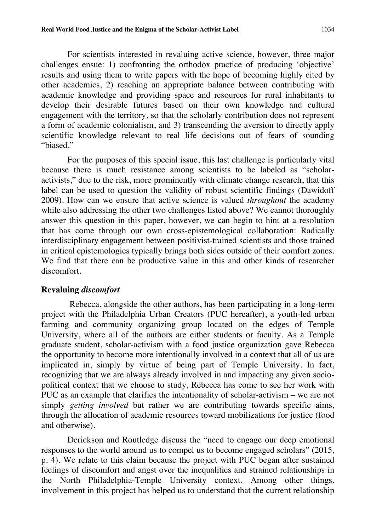For scientists interested in revaluing active science, however, three major challenges ensue: 1) confronting the orthodox practice of producing 'objective' results and using them to write papers with the hope of becoming highly cited by other academics, 2) reaching an appropriate balance between contributing with academic knowledge and providing space and resources for rural inhabitants to develop their desirable futures based on their own knowledge and cultural engagement with the territory, so that the scholarly contribution does not represent a form of academic colonialism, and 3) transcending the aversion to directly apply scientific knowledge relevant to real life decisions out of fears of sounding "biased."

For the purposes of this special issue, this last challenge is particularly vital because there is much resistance among scientists to be labeled as "scholaractivists," due to the risk, more prominently with climate change research, that this label can be used to question the validity of robust scientific findings (Dawidoff 2009). How can we ensure that active science is valued *throughout* the academy while also addressing the other two challenges listed above? We cannot thoroughly answer this question in this paper, however, we can begin to hint at a resolution that has come through our own cross-epistemological collaboration: Radically interdisciplinary engagement between positivist-trained scientists and those trained in critical epistemologies typically brings both sides outside of their comfort zones. We find that there can be productive value in this and other kinds of researcher discomfort.

#### **Revaluing** *discomfort*

Rebecca, alongside the other authors, has been participating in a long-term project with the Philadelphia Urban Creators (PUC hereafter), a youth-led urban farming and community organizing group located on the edges of Temple University, where all of the authors are either students or faculty. As a Temple graduate student, scholar-activism with a food justice organization gave Rebecca the opportunity to become more intentionally involved in a context that all of us are implicated in, simply by virtue of being part of Temple University. In fact, recognizing that we are always already involved in and impacting any given sociopolitical context that we choose to study, Rebecca has come to see her work with PUC as an example that clarifies the intentionality of scholar-activism – we are not simply *getting involved* but rather we are contributing towards specific aims, through the allocation of academic resources toward mobilizations for justice (food and otherwise).

Derickson and Routledge discuss the "need to engage our deep emotional responses to the world around us to compel us to become engaged scholars" (2015, p. 4). We relate to this claim because the project with PUC began after sustained feelings of discomfort and angst over the inequalities and strained relationships in the North Philadelphia-Temple University context. Among other things, involvement in this project has helped us to understand that the current relationship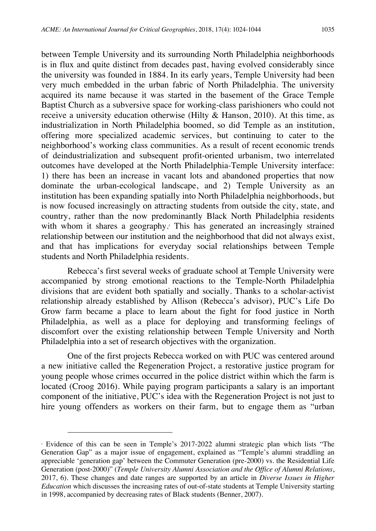between Temple University and its surrounding North Philadelphia neighborhoods is in flux and quite distinct from decades past, having evolved considerably since the university was founded in 1884. In its early years, Temple University had been very much embedded in the urban fabric of North Philadelphia. The university acquired its name because it was started in the basement of the Grace Temple Baptist Church as a subversive space for working-class parishioners who could not receive a university education otherwise (Hilty & Hanson, 2010). At this time, as industrialization in North Philadelphia boomed, so did Temple as an institution, offering more specialized academic services, but continuing to cater to the neighborhood's working class communities. As a result of recent economic trends of deindustrialization and subsequent profit-oriented urbanism, two interrelated outcomes have developed at the North Philadelphia-Temple University interface: 1) there has been an increase in vacant lots and abandoned properties that now dominate the urban-ecological landscape, and 2) Temple University as an institution has been expanding spatially into North Philadelphia neighborhoods, but is now focused increasingly on attracting students from outside the city, state, and country, rather than the now predominantly Black North Philadelphia residents with whom it shares a geography.<sup>5</sup> This has generated an increasingly strained relationship between our institution and the neighborhood that did not always exist, and that has implications for everyday social relationships between Temple students and North Philadelphia residents.

Rebecca's first several weeks of graduate school at Temple University were accompanied by strong emotional reactions to the Temple-North Philadelphia divisions that are evident both spatially and socially. Thanks to a scholar-activist relationship already established by Allison (Rebecca's advisor), PUC's Life Do Grow farm became a place to learn about the fight for food justice in North Philadelphia, as well as a place for deploying and transforming feelings of discomfort over the existing relationship between Temple University and North Philadelphia into a set of research objectives with the organization.

One of the first projects Rebecca worked on with PUC was centered around a new initiative called the Regeneration Project, a restorative justice program for young people whose crimes occurred in the police district within which the farm is located (Croog 2016). While paying program participants a salary is an important component of the initiative, PUC's idea with the Regeneration Project is not just to hire young offenders as workers on their farm, but to engage them as "urban

l

<sup>5</sup> Evidence of this can be seen in Temple's 2017-2022 alumni strategic plan which lists "The Generation Gap" as a major issue of engagement, explained as "Temple's alumni straddling an appreciable 'generation gap' between the Commuter Generation (pre-2000) vs. the Residential Life Generation (post-2000)" (*Temple University Alumni Association and the Office of Alumni Relations*, 2017, 6). These changes and date ranges are supported by an article in *Diverse Issues in Higher Education* which discusses the increasing rates of out-of-state students at Temple University starting in 1998, accompanied by decreasing rates of Black students (Benner, 2007).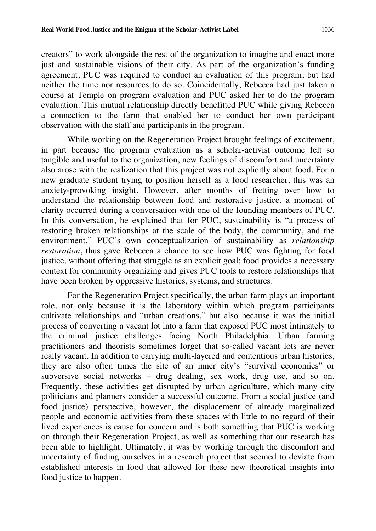creators" to work alongside the rest of the organization to imagine and enact more just and sustainable visions of their city. As part of the organization's funding agreement, PUC was required to conduct an evaluation of this program, but had neither the time nor resources to do so. Coincidentally, Rebecca had just taken a course at Temple on program evaluation and PUC asked her to do the program evaluation. This mutual relationship directly benefitted PUC while giving Rebecca a connection to the farm that enabled her to conduct her own participant observation with the staff and participants in the program.

While working on the Regeneration Project brought feelings of excitement, in part because the program evaluation as a scholar-activist outcome felt so tangible and useful to the organization, new feelings of discomfort and uncertainty also arose with the realization that this project was not explicitly about food. For a new graduate student trying to position herself as a food researcher, this was an anxiety-provoking insight. However, after months of fretting over how to understand the relationship between food and restorative justice, a moment of clarity occurred during a conversation with one of the founding members of PUC. In this conversation, he explained that for PUC, sustainability is "a process of restoring broken relationships at the scale of the body, the community, and the environment." PUC's own conceptualization of sustainability as *relationship restoration*, thus gave Rebecca a chance to see how PUC was fighting for food justice, without offering that struggle as an explicit goal; food provides a necessary context for community organizing and gives PUC tools to restore relationships that have been broken by oppressive histories, systems, and structures.

For the Regeneration Project specifically, the urban farm plays an important role, not only because it is the laboratory within which program participants cultivate relationships and "urban creations," but also because it was the initial process of converting a vacant lot into a farm that exposed PUC most intimately to the criminal justice challenges facing North Philadelphia. Urban farming practitioners and theorists sometimes forget that so-called vacant lots are never really vacant. In addition to carrying multi-layered and contentious urban histories, they are also often times the site of an inner city's "survival economies" or subversive social networks – drug dealing, sex work, drug use, and so on. Frequently, these activities get disrupted by urban agriculture, which many city politicians and planners consider a successful outcome. From a social justice (and food justice) perspective, however, the displacement of already marginalized people and economic activities from these spaces with little to no regard of their lived experiences is cause for concern and is both something that PUC is working on through their Regeneration Project, as well as something that our research has been able to highlight. Ultimately, it was by working through the discomfort and uncertainty of finding ourselves in a research project that seemed to deviate from established interests in food that allowed for these new theoretical insights into food justice to happen.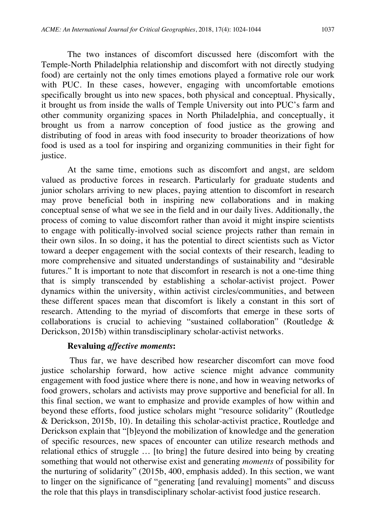The two instances of discomfort discussed here (discomfort with the Temple-North Philadelphia relationship and discomfort with not directly studying food) are certainly not the only times emotions played a formative role our work with PUC. In these cases, however, engaging with uncomfortable emotions specifically brought us into new spaces, both physical and conceptual. Physically, it brought us from inside the walls of Temple University out into PUC's farm and other community organizing spaces in North Philadelphia, and conceptually, it brought us from a narrow conception of food justice as the growing and distributing of food in areas with food insecurity to broader theorizations of how food is used as a tool for inspiring and organizing communities in their fight for justice.

At the same time, emotions such as discomfort and angst, are seldom valued as productive forces in research. Particularly for graduate students and junior scholars arriving to new places, paying attention to discomfort in research may prove beneficial both in inspiring new collaborations and in making conceptual sense of what we see in the field and in our daily lives. Additionally, the process of coming to value discomfort rather than avoid it might inspire scientists to engage with politically-involved social science projects rather than remain in their own silos. In so doing, it has the potential to direct scientists such as Victor toward a deeper engagement with the social contexts of their research, leading to more comprehensive and situated understandings of sustainability and "desirable futures." It is important to note that discomfort in research is not a one-time thing that is simply transcended by establishing a scholar-activist project. Power dynamics within the university, within activist circles/communities, and between these different spaces mean that discomfort is likely a constant in this sort of research. Attending to the myriad of discomforts that emerge in these sorts of collaborations is crucial to achieving "sustained collaboration" (Routledge & Derickson, 2015b) within transdisciplinary scholar-activist networks.

### **Revaluing** *affective moments***:**

Thus far, we have described how researcher discomfort can move food justice scholarship forward, how active science might advance community engagement with food justice where there is none, and how in weaving networks of food growers, scholars and activists may prove supportive and beneficial for all. In this final section, we want to emphasize and provide examples of how within and beyond these efforts, food justice scholars might "resource solidarity" (Routledge & Derickson, 2015b, 10). In detailing this scholar-activist practice, Routledge and Derickson explain that "[b]eyond the mobilization of knowledge and the generation of specific resources, new spaces of encounter can utilize research methods and relational ethics of struggle … [to bring] the future desired into being by creating something that would not otherwise exist and generating *moments* of possibility for the nurturing of solidarity" (2015b, 400, emphasis added). In this section, we want to linger on the significance of "generating [and revaluing] moments" and discuss the role that this plays in transdisciplinary scholar-activist food justice research.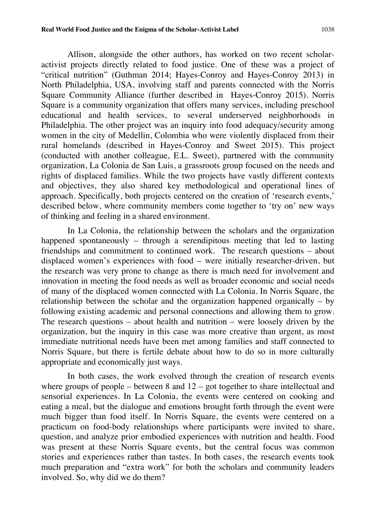Allison, alongside the other authors, has worked on two recent scholaractivist projects directly related to food justice. One of these was a project of "critical nutrition" (Guthman 2014; Hayes-Conroy and Hayes-Conroy 2013) in North Philadelphia, USA, involving staff and parents connected with the Norris Square Community Alliance (further described in Hayes-Conroy 2015). Norris Square is a community organization that offers many services, including preschool educational and health services, to several underserved neighborhoods in Philadelphia. The other project was an inquiry into food adequacy/security among women in the city of Medellin, Colombia who were violently displaced from their rural homelands (described in Hayes-Conroy and Sweet 2015). This project (conducted with another colleague, E.L. Sweet), partnered with the community organization, La Colonia de San Luis, a grassroots group focused on the needs and rights of displaced families. While the two projects have vastly different contexts and objectives, they also shared key methodological and operational lines of approach. Specifically, both projects centered on the creation of 'research events,' described below, where community members come together to 'try on' new ways of thinking and feeling in a shared environment.

In La Colonia, the relationship between the scholars and the organization happened spontaneously – through a serendipitous meeting that led to lasting friendships and commitment to continued work. The research questions – about displaced women's experiences with food – were initially researcher-driven, but the research was very prone to change as there is much need for involvement and innovation in meeting the food needs as well as broader economic and social needs of many of the displaced women connected with La Colonia. In Norris Square, the relationship between the scholar and the organization happened organically – by following existing academic and personal connections and allowing them to grow. The research questions – about health and nutrition – were loosely driven by the organization, but the inquiry in this case was more creative than urgent, as most immediate nutritional needs have been met among families and staff connected to Norris Square, but there is fertile debate about how to do so in more culturally appropriate and economically just ways.

In both cases, the work evolved through the creation of research events where groups of people – between  $8$  and  $12$  – got together to share intellectual and sensorial experiences. In La Colonia, the events were centered on cooking and eating a meal, but the dialogue and emotions brought forth through the event were much bigger than food itself. In Norris Square, the events were centered on a practicum on food-body relationships where participants were invited to share, question, and analyze prior embodied experiences with nutrition and health. Food was present at these Norris Square events, but the central focus was common stories and experiences rather than tastes. In both cases, the research events took much preparation and "extra work" for both the scholars and community leaders involved. So, why did we do them?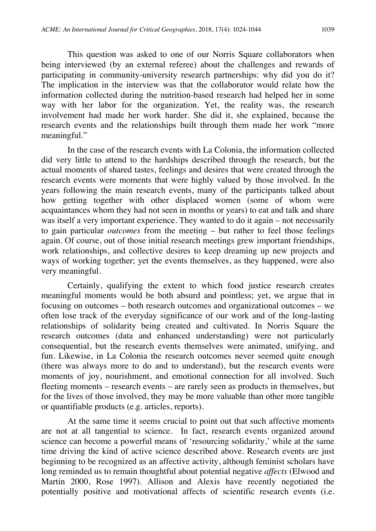This question was asked to one of our Norris Square collaborators when being interviewed (by an external referee) about the challenges and rewards of participating in community-university research partnerships: why did you do it? The implication in the interview was that the collaborator would relate how the information collected during the nutrition-based research had helped her in some way with her labor for the organization. Yet, the reality was, the research involvement had made her work harder. She did it, she explained, because the research events and the relationships built through them made her work "more meaningful."

In the case of the research events with La Colonia, the information collected did very little to attend to the hardships described through the research, but the actual moments of shared tastes, feelings and desires that were created through the research events were moments that were highly valued by those involved. In the years following the main research events, many of the participants talked about how getting together with other displaced women (some of whom were acquaintances whom they had not seen in months or years) to eat and talk and share was itself a very important experience. They wanted to do it again – not necessarily to gain particular *outcomes* from the meeting – but rather to feel those feelings again. Of course, out of those initial research meetings grew important friendships, work relationships, and collective desires to keep dreaming up new projects and ways of working together; yet the events themselves, as they happened, were also very meaningful.

Certainly, qualifying the extent to which food justice research creates meaningful moments would be both absurd and pointless; yet, we argue that in focusing on outcomes – both research outcomes and organizational outcomes – we often lose track of the everyday significance of our work and of the long-lasting relationships of solidarity being created and cultivated. In Norris Square the research outcomes (data and enhanced understanding) were not particularly consequential, but the research events themselves were animated, unifying, and fun. Likewise, in La Colonia the research outcomes never seemed quite enough (there was always more to do and to understand), but the research events were moments of joy, nourishment, and emotional connection for all involved. Such fleeting moments – research events – are rarely seen as products in themselves, but for the lives of those involved, they may be more valuable than other more tangible or quantifiable products (e.g. articles, reports).

At the same time it seems crucial to point out that such affective moments are not at all tangential to science. In fact, research events organized around science can become a powerful means of 'resourcing solidarity,' while at the same time driving the kind of active science described above. Research events are just beginning to be recognized as an affective activity, although feminist scholars have long reminded us to remain thoughtful about potential negative *affects* (Elwood and Martin 2000, Rose 1997). Allison and Alexis have recently negotiated the potentially positive and motivational affects of scientific research events (i.e.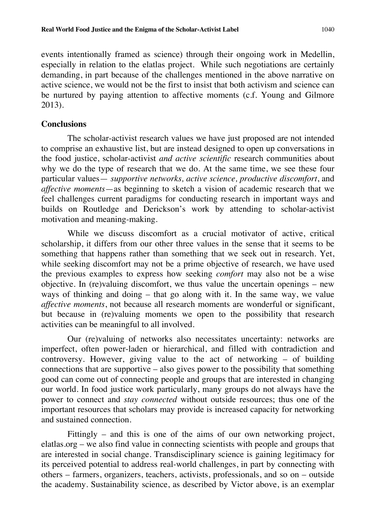events intentionally framed as science) through their ongoing work in Medellin, especially in relation to the elatlas project. While such negotiations are certainly demanding, in part because of the challenges mentioned in the above narrative on active science, we would not be the first to insist that both activism and science can be nurtured by paying attention to affective moments (c.f. Young and Gilmore 2013).

#### **Conclusions**

The scholar-activist research values we have just proposed are not intended to comprise an exhaustive list, but are instead designed to open up conversations in the food justice, scholar-activist *and active scientific* research communities about why we do the type of research that we do. At the same time, we see these four particular values— *supportive networks, active science, productive discomfort*, and *affective moments*—as beginning to sketch a vision of academic research that we feel challenges current paradigms for conducting research in important ways and builds on Routledge and Derickson's work by attending to scholar-activist motivation and meaning-making.

While we discuss discomfort as a crucial motivator of active, critical scholarship, it differs from our other three values in the sense that it seems to be something that happens rather than something that we seek out in research. Yet, while seeking discomfort may not be a prime objective of research, we have used the previous examples to express how seeking *comfort* may also not be a wise objective. In (re)valuing discomfort, we thus value the uncertain openings – new ways of thinking and doing – that go along with it. In the same way, we value *affective moments*, not because all research moments are wonderful or significant, but because in (re)valuing moments we open to the possibility that research activities can be meaningful to all involved.

Our (re)valuing of networks also necessitates uncertainty: networks are imperfect, often power-laden or hierarchical, and filled with contradiction and controversy. However, giving value to the act of networking – of building connections that are supportive – also gives power to the possibility that something good can come out of connecting people and groups that are interested in changing our world. In food justice work particularly, many groups do not always have the power to connect and *stay connected* without outside resources; thus one of the important resources that scholars may provide is increased capacity for networking and sustained connection.

Fittingly – and this is one of the aims of our own networking project, elatlas.org – we also find value in connecting scientists with people and groups that are interested in social change. Transdisciplinary science is gaining legitimacy for its perceived potential to address real-world challenges, in part by connecting with others – farmers, organizers, teachers, activists, professionals, and so on – outside the academy. Sustainability science, as described by Victor above, is an exemplar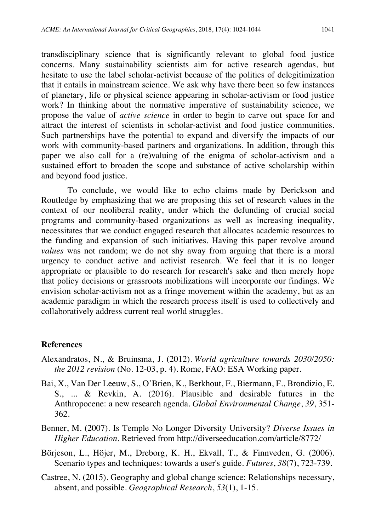transdisciplinary science that is significantly relevant to global food justice concerns. Many sustainability scientists aim for active research agendas, but hesitate to use the label scholar-activist because of the politics of delegitimization that it entails in mainstream science. We ask why have there been so few instances of planetary, life or physical science appearing in scholar-activism or food justice work? In thinking about the normative imperative of sustainability science, we propose the value of *active science* in order to begin to carve out space for and attract the interest of scientists in scholar-activist and food justice communities. Such partnerships have the potential to expand and diversify the impacts of our work with community-based partners and organizations. In addition, through this paper we also call for a (re)valuing of the enigma of scholar-activism and a sustained effort to broaden the scope and substance of active scholarship within and beyond food justice.

To conclude, we would like to echo claims made by Derickson and Routledge by emphasizing that we are proposing this set of research values in the context of our neoliberal reality, under which the defunding of crucial social programs and community-based organizations as well as increasing inequality, necessitates that we conduct engaged research that allocates academic resources to the funding and expansion of such initiatives. Having this paper revolve around *values* was not random; we do not shy away from arguing that there is a moral urgency to conduct active and activist research. We feel that it is no longer appropriate or plausible to do research for research's sake and then merely hope that policy decisions or grassroots mobilizations will incorporate our findings. We envision scholar-activism not as a fringe movement within the academy, but as an academic paradigm in which the research process itself is used to collectively and collaboratively address current real world struggles.

#### **References**

- Alexandratos, N., & Bruinsma, J. (2012). *World agriculture towards 2030/2050: the 2012 revision* (No. 12-03, p. 4). Rome, FAO: ESA Working paper.
- Bai, X., Van Der Leeuw, S., O'Brien, K., Berkhout, F., Biermann, F., Brondizio, E. S., ... & Revkin, A. (2016). Plausible and desirable futures in the Anthropocene: a new research agenda. *Global Environmental Change*, *39*, 351- 362.
- Benner, M. (2007). Is Temple No Longer Diversity University? *Diverse Issues in Higher Education.* Retrieved from http://diverseeducation.com/article/8772/
- Börjeson, L., Höjer, M., Dreborg, K. H., Ekvall, T., & Finnveden, G. (2006). Scenario types and techniques: towards a user's guide. *Futures*, *38*(7), 723-739.
- Castree, N. (2015). Geography and global change science: Relationships necessary, absent, and possible. *Geographical Research*, *53*(1), 1-15.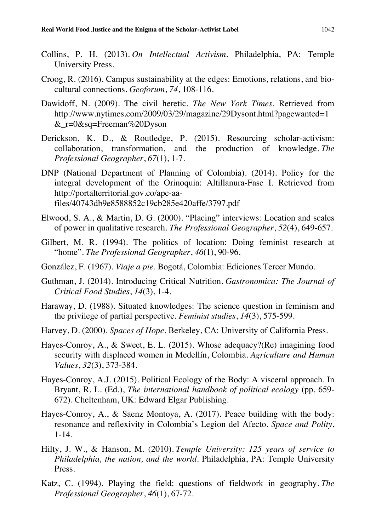- Collins, P. H. (2013). *On Intellectual Activism*. Philadelphia, PA: Temple University Press.
- Croog, R. (2016). Campus sustainability at the edges: Emotions, relations, and biocultural connections. *Geoforum*, *74*, 108-116.
- Dawidoff, N. (2009). The civil heretic. *The New York Times.* Retrieved from http://www.nytimes.com/2009/03/29/magazine/29Dysont.html?pagewanted=1 &\_r=0&sq=Freeman%20Dyson
- Derickson, K. D., & Routledge, P. (2015). Resourcing scholar-activism: collaboration, transformation, and the production of knowledge. *The Professional Geographer*, *67*(1), 1-7.
- DNP (National Department of Planning of Colombia). (2014). Policy for the integral development of the Orinoquia: Altillanura-Fase I. Retrieved from http://portalterritorial.gov.co/apc-aafiles/40743db9e8588852c19cb285e420affe/3797.pdf
- Elwood, S. A., & Martin, D. G. (2000). "Placing" interviews: Location and scales of power in qualitative research. *The Professional Geographer*, *52*(4), 649-657.
- Gilbert, M. R. (1994). The politics of location: Doing feminist research at "home". *The Professional Geographer*, *46*(1), 90-96.
- González, F. (1967). *Viaje a pie.* Bogotá, Colombia: Ediciones Tercer Mundo.
- Guthman, J. (2014). Introducing Critical Nutrition. *Gastronomica: The Journal of Critical Food Studies*, *14*(3), 1-4.
- Haraway, D. (1988). Situated knowledges: The science question in feminism and the privilege of partial perspective. *Feminist studies*, *14*(3), 575-599.
- Harvey, D. (2000). *Spaces of Hope.* Berkeley, CA: University of California Press.
- Hayes-Conroy, A., & Sweet, E. L. (2015). Whose adequacy?(Re) imagining food security with displaced women in Medellín, Colombia. *Agriculture and Human Values*, *32*(3), 373-384.
- Hayes-Conroy, A.J. (2015). Political Ecology of the Body: A visceral approach. In Bryant, R. L. (Ed.), *The international handbook of political ecology* (pp. 659- 672). Cheltenham, UK: Edward Elgar Publishing.
- Hayes-Conroy, A., & Saenz Montoya, A. (2017). Peace building with the body: resonance and reflexivity in Colombia's Legion del Afecto. *Space and Polity*, 1-14.
- Hilty, J. W., & Hanson, M. (2010). *Temple University: 125 years of service to Philadelphia, the nation, and the world*. Philadelphia, PA: Temple University Press.
- Katz, C. (1994). Playing the field: questions of fieldwork in geography. *The Professional Geographer*, *46*(1), 67-72.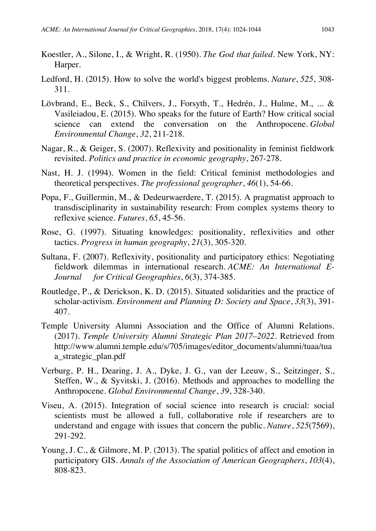- Koestler, A., Silone, I., & Wright, R. (1950). *The God that failed*. New York, NY: Harper.
- Ledford, H. (2015). How to solve the world's biggest problems. *Nature*, *525*, 308- 311.
- Lövbrand, E., Beck, S., Chilvers, J., Forsyth, T., Hedrén, J., Hulme, M., ... & Vasileiadou, E. (2015). Who speaks for the future of Earth? How critical social science can extend the conversation on the Anthropocene. *Global Environmental Change*, *32*, 211-218.
- Nagar, R., & Geiger, S. (2007). Reflexivity and positionality in feminist fieldwork revisited. *Politics and practice in economic geography*, 267-278.
- Nast, H. J. (1994). Women in the field: Critical feminist methodologies and theoretical perspectives. *The professional geographer*, *46*(1), 54-66.
- Popa, F., Guillermin, M., & Dedeurwaerdere, T. (2015). A pragmatist approach to transdisciplinarity in sustainability research: From complex systems theory to reflexive science. *Futures*, *65*, 45-56.
- Rose, G. (1997). Situating knowledges: positionality, reflexivities and other tactics. *Progress in human geography*, *21*(3), 305-320.
- Sultana, F. (2007). Reflexivity, positionality and participatory ethics: Negotiating fieldwork dilemmas in international research. *ACME: An International E-Journal for Critical Geographies*, *6*(3), 374-385.
- Routledge, P., & Derickson, K. D. (2015). Situated solidarities and the practice of scholar-activism. *Environment and Planning D: Society and Space*, *33*(3), 391- 407.
- Temple University Alumni Association and the Office of Alumni Relations. (2017). *Temple University Alumni Strategic Plan 2017–2022.* Retrieved from http://www.alumni.temple.edu/s/705/images/editor\_documents/alumni/tuaa/tua a\_strategic\_plan.pdf
- Verburg, P. H., Dearing, J. A., Dyke, J. G., van der Leeuw, S., Seitzinger, S., Steffen, W., & Syvitski, J. (2016). Methods and approaches to modelling the Anthropocene. *Global Environmental Change*, *39*, 328-340.
- Viseu, A. (2015). Integration of social science into research is crucial: social scientists must be allowed a full, collaborative role if researchers are to understand and engage with issues that concern the public. *Nature*, *525*(7569), 291-292.
- Young, J. C., & Gilmore, M. P. (2013). The spatial politics of affect and emotion in participatory GIS. *Annals of the Association of American Geographers*, *103*(4), 808-823.